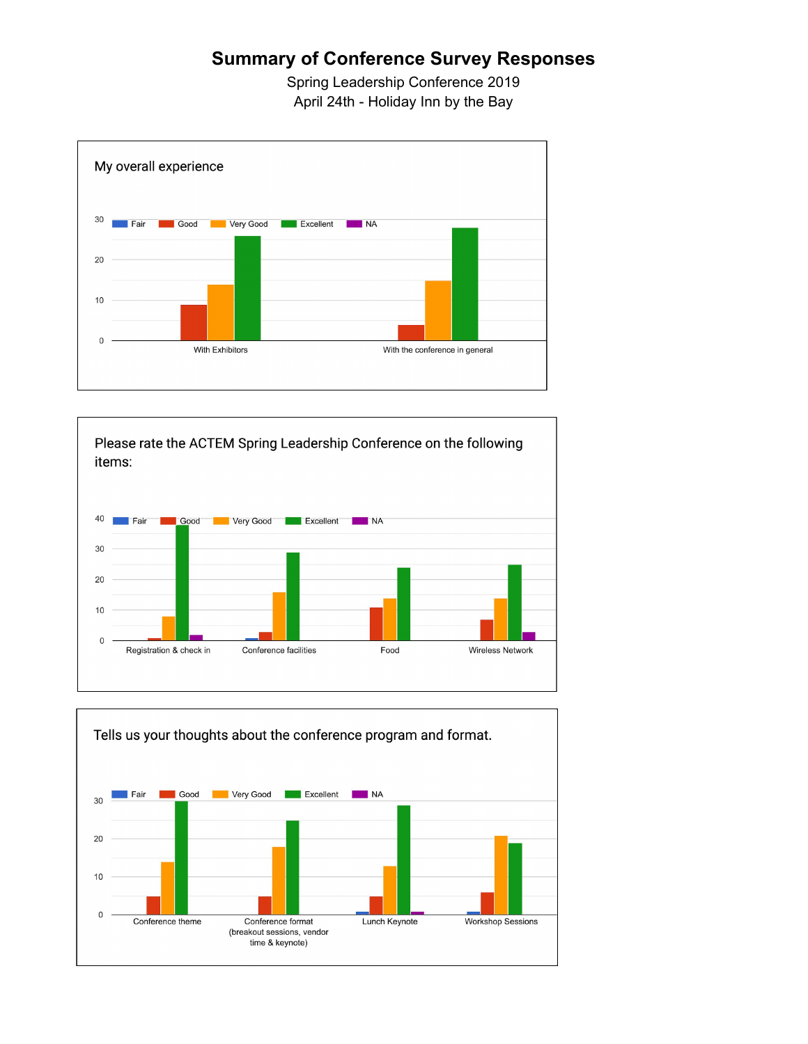## **Summary of Conference Survey Responses**

Spring Leadership Conference 2019 April 24th - Holiday Inn by the Bay